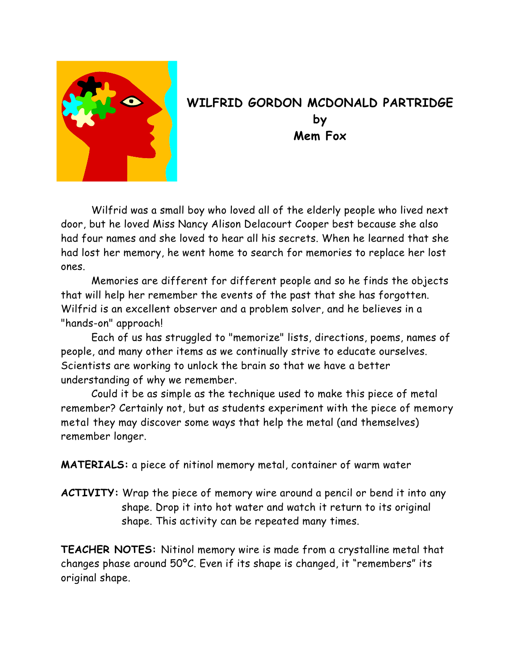

## **WILFRID GORDON MCDONALD PARTRIDGE by Mem Fox**

 Wilfrid was a small boy who loved all of the elderly people who lived next door, but he loved Miss Nancy Alison Delacourt Cooper best because she also had four names and she loved to hear all his secrets. When he learned that she had lost her memory, he went home to search for memories to replace her lost ones.

 Memories are different for different people and so he finds the objects that will help her remember the events of the past that she has forgotten. Wilfrid is an excellent observer and a problem solver, and he believes in a "hands-on" approach!

 Each of us has struggled to "memorize" lists, directions, poems, names of people, and many other items as we continually strive to educate ourselves. Scientists are working to unlock the brain so that we have a better understanding of why we remember.

 Could it be as simple as the technique used to make this piece of metal remember? Certainly not, but as students experiment with the piece of memory metal they may discover some ways that help the metal (and themselves) remember longer.

**MATERIALS:** a piece of nitinol memory metal, container of warm water

**ACTIVITY:** Wrap the piece of memory wire around a pencil or bend it into any shape. Drop it into hot water and watch it return to its original shape. This activity can be repeated many times.

**TEACHER NOTES:** Nitinol memory wire is made from a crystalline metal that changes phase around 50ºC. Even if its shape is changed, it "remembers" its original shape.